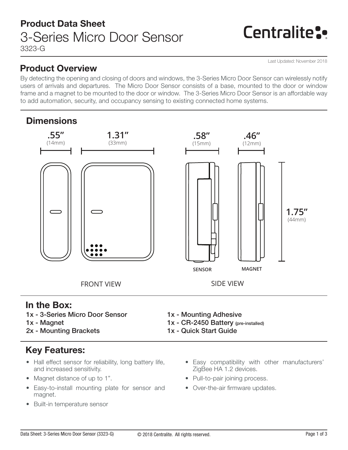# Centralite:

Last Updated: November 2018

### Product Overview

By detecting the opening and closing of doors and windows, the 3-Series Micro Door Sensor can wirelessly notify users of arrivals and departures. The Micro Door Sensor consists of a base, mounted to the door or window frame and a magnet to be mounted to the door or window. The 3-Series Micro Door Sensor is an affordable way to add automation, security, and occupancy sensing to existing connected home systems.

## **Dimensions**



### In the Box:

- 1x 3-Series Micro Door Sensor
- 1x Magnet
- 2x Mounting Brackets

## Key Features:

- Hall effect sensor for reliability, long battery life, and increased sensitivity.
- Magnet distance of up to 1".
- Easy-to-install mounting plate for sensor and magnet.
- Built-in temperature sensor
- 1x Mounting Adhesive
- 1x CR-2450 Battery (pre-installed)
- 1x Quick Start Guide
	- Easy compatibility with other manufacturers' ZigBee HA 1.2 devices.
	- Pull-to-pair joining process.
	- Over-the-air firmware updates.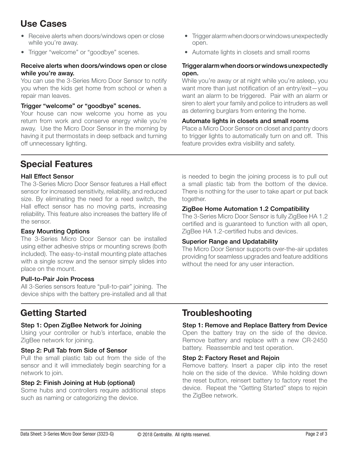## Use Cases

- Receive alerts when doors/windows open or close while you're away.
- Trigger "welcome" or "goodbye" scenes.

#### Receive alerts when doors/windows open or close while you're away.

You can use the 3-Series Micro Door Sensor to notify you when the kids get home from school or when a repair man leaves.

#### Trigger "welcome" or "goodbye" scenes.

Your house can now welcome you home as you return from work and conserve energy while you're away. Use the Micro Door Sensor in the morning by having it put thermostats in deep setback and turning off unnecessary lighting.

- Trigger alarm when doors or windows unexpectedly open.
- Automate lights in closets and small rooms

#### Trigger alarm when doors or windows unexpectedly open.

While you're away or at night while you're asleep, you want more than just notification of an entry/exit—you want an alarm to be triggered. Pair with an alarm or siren to alert your family and police to intruders as well as deterring burglars from entering the home.

#### Automate lights in closets and small rooms

Place a Micro Door Sensor on closet and pantry doors to trigger lights to automatically turn on and off. This feature provides extra visibility and safety.

### Special Features

#### Hall Effect Sensor

The 3-Series Micro Door Sensor features a Hall effect sensor for increased sensitivity, reliability, and reduced size. By eliminating the need for a reed switch, the Hall effect sensor has no moving parts, increasing reliability. This feature also increases the battery life of the sensor.

### Easy Mounting Options

The 3-Series Micro Door Sensor can be installed using either adhesive strips or mounting screws (both included). The easy-to-install mounting plate attaches with a single screw and the sensor simply slides into place on the mount.

#### Pull-to-Pair Join Process

All 3-Series sensors feature "pull-to-pair" joining. The device ships with the battery pre-installed and all that is needed to begin the joining process is to pull out a small plastic tab from the bottom of the device. There is nothing for the user to take apart or put back together.

#### ZigBee Home Automation 1.2 Compatibility

The 3-Series Micro Door Sensor is fully ZigBee HA 1.2 certified and is guaranteed to function with all open, ZigBee HA 1.2-certified hubs and devices.

#### Superior Range and Updatability

The Micro Door Sensor supports over-the-air updates providing for seamless upgrades and feature additions without the need for any user interaction.

#### Step 1: Open ZigBee Network for Joining

Using your controller or hub's interface, enable the ZigBee network for joining.

#### Step 2: Pull Tab from Side of Sensor

Pull the small plastic tab out from the side of the sensor and it will immediately begin searching for a network to join.

#### Step 2: Finish Joining at Hub (optional)

Some hubs and controllers require additional steps such as naming or categorizing the device.

### Getting Started Troubleshooting

### Step 1: Remove and Replace Battery from Device

Open the battery tray on the side of the device. Remove battery and replace with a new CR-2450 battery. Reassemble and test operation.

#### Step 2: Factory Reset and Rejoin

Remove battery. Insert a paper clip into the reset hole on the side of the device. While holding down the reset button, reinsert battery to factory reset the device. Repeat the "Getting Started" steps to rejoin the ZigBee network.